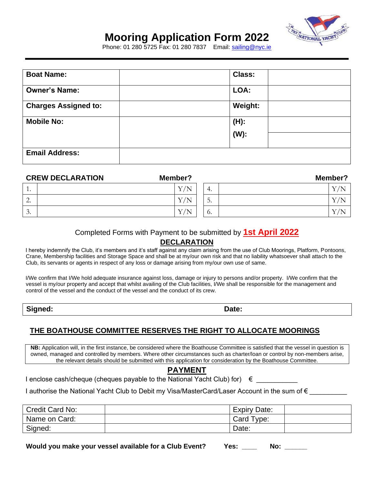

## **Mooring Application Form 202 2**

**1** Phone: 01 280 5725 Fax: 01 280 7837 Email: sailing@nyc.ie

| <b>Boat Name:</b>           | <b>Class:</b>      |
|-----------------------------|--------------------|
| <b>Owner's Name:</b>        | LOA:               |
| <b>Charges Assigned to:</b> | Weight:            |
| <b>Mobile No:</b>           | $(H)$ :<br>$(W)$ : |
| <b>Email Address:</b>       |                    |

| <b>CREW DECLARATION</b>       | Member?         |                           | Member?      |
|-------------------------------|-----------------|---------------------------|--------------|
| . .                           | $\rm V/N$<br>л. | 4.                        | $\mathbf{r}$ |
| ◠<br><u>L.</u>                | Y/N             | $\overline{ }$<br>∽<br>J. | $\mathbf{r}$ |
| $\mathbf{\Omega}$<br>$\cup$ . | Y/N<br>л.       | $\mathbf{0}$              |              |

#### Completed Forms with Payment to be submitted by **1st April 2022**

### **DECLARATION**

I hereby indemnify the Club, it's members and it's staff against any claim arising from the use of Club Moorings, Platform, Pontoons, Crane, Membership facilities and Storage Space and shall be at my/our own risk and that no liability whatsoever shall attach to the Club, its servants or agents in respect of any loss or damage arising from my/our own use of same.

I/We confirm that I/We hold adequate insurance against loss, damage or injury to persons and/or property. I/We confirm that the vessel is my/our property and accept that whilst availing of the Club facilities, I/We shall be responsible for the management and control of the vessel and the conduct of the vessel and the conduct of its crew.

**Signed: Date:** 

## **THE BOATHOUSE COMMITTEE RESERVES THE RIGHT TO ALLOCATE MOORINGS**

**NB:** Application will, in the first instance, be considered where the Boathouse Committee is satisfied that the vessel in question is owned, managed and controlled by members. Where other circumstances such as charter/loan or control by non-members arise, the relevant details should be submitted with this application for consideration by the Boathouse Committee.

### **PAYMENT**

I enclose cash/cheque (cheques payable to the National Yacht Club) for)  $∈$ 

I authorise the National Yacht Club to Debit my Visa/MasterCard/Laser Account in the sum of €

| Credit Card No: | <b>Expiry Date:</b> |  |
|-----------------|---------------------|--|
| Name on Card:   | Card Type:          |  |
| Signed:         | Date:               |  |

Would you make your vessel available for a Club Event?

|  | Yes: |  | No: |  |
|--|------|--|-----|--|
|--|------|--|-----|--|